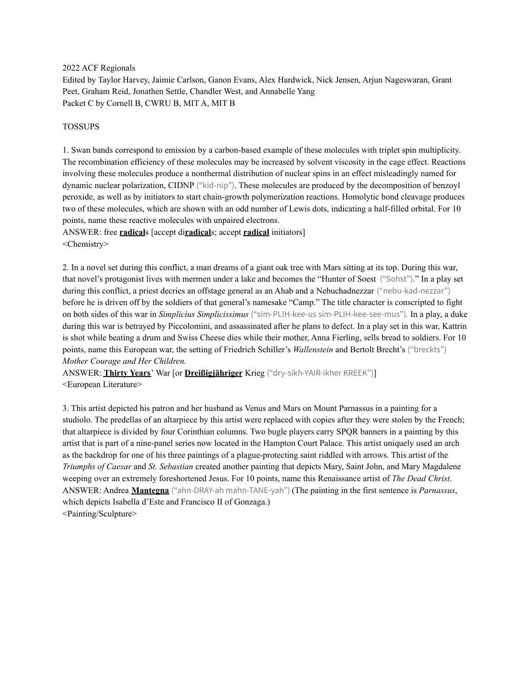2022 ACF Regionals

Edited by Taylor Harvey, Jaimie Carlson, Ganon Evans, Alex Hardwick, Nick Jensen, Arjun Nageswaran, Grant Peet, Graham Reid, Jonathen Settle, Chandler West, and Annabelle Yang Packet C by Cornell B, CWRU B, MIT A, MIT B

### TOSSUPS

1. Swan bands correspond to emission by a carbon-based example of these molecules with triplet spin multiplicity. The recombination efficiency of these molecules may be increased by solvent viscosity in the cage effect. Reactions involving these molecules produce a nonthermal distribution of nuclear spins in an effect misleadingly named for dynamic nuclear polarization, CIDNP ("kid-nip"). These molecules are produced by the decomposition of benzoyl peroxide, as well as by initiators to start chain-growth polymerization reactions. Homolytic bond cleavage produces two of these molecules, which are shown with an odd number of Lewis dots, indicating a half-filled orbital. For 10 points, name these reactive molecules with unpaired electrons.

ANSWER: free **radical**s [accept di**radical**s; accept **radical** initiators] <Chemistry>

2. In a novel set during this conflict, a man dreams of a giant oak tree with Mars sitting at its top. During this war, that novel's protagonist lives with mermen under a lake and becomes the "Hunter of Soest ("Sohst")." In a play set during this conflict, a priest decries an offstage general as an Ahab and a Nebuchadnezzar ("nebu-kad-nezzar") before he is driven off by the soldiers of that general's namesake "Camp." The title character is conscripted to fight on both sides of this war in *Simplicius Simplicissimus* ("sim-PLIH-kee-us sim-PLIH-kee-see-mus")*.* In a play, a duke during this war is betrayed by Piccolomini, and assassinated after he plans to defect. In a play set in this war, Kattrin is shot while beating a drum and Swiss Cheese dies while their mother, Anna Fierling, sells bread to soldiers. For 10 points, name this European war, the setting of Friedrich Schiller's *Wallenstein* and Bertolt Brecht's ("breckts") *Mother Courage and Her Children.*

ANSWER: **Thirty Years**' War [or **Dreißigjähriger** Krieg ("dry-sikh-YAIR-ikher KREEK")] <European Literature>

3. This artist depicted his patron and her husband as Venus and Mars on Mount Parnassus in a painting for a studiolo. The predellas of an altarpiece by this artist were replaced with copies after they were stolen by the French; that altarpiece is divided by four Corinthian columns. Two bugle players carry SPQR banners in a painting by this artist that is part of a nine-panel series now located in the Hampton Court Palace. This artist uniquely used an arch as the backdrop for one of his three paintings of a plague-protecting saint riddled with arrows. This artist of the *Triumphs of Caesar* and *St. Sebastian* created another painting that depicts Mary, Saint John, and Mary Magdalene weeping over an extremely foreshortened Jesus. For 10 points, name this Renaissance artist of *The Dead Christ*. ANSWER: Andrea **Mantegna** ("ahn-DRAY-ah mahn-TANE-yah") (The painting in the first sentence is *Parnassus*, which depicts Isabella d'Este and Francisco II of Gonzaga.) <Painting/Sculpture>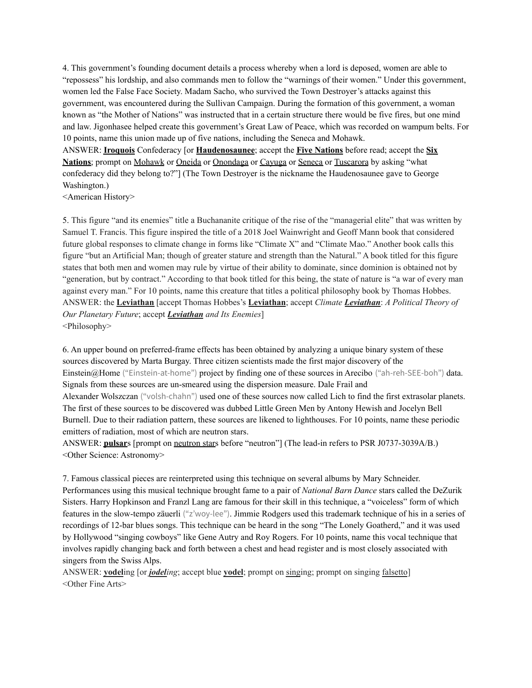4. This government's founding document details a process whereby when a lord is deposed, women are able to "repossess" his lordship, and also commands men to follow the "warnings of their women." Under this government, women led the False Face Society. Madam Sacho, who survived the Town Destroyer's attacks against this government, was encountered during the Sullivan Campaign. During the formation of this government, a woman known as "the Mother of Nations" was instructed that in a certain structure there would be five fires, but one mind and law. Jigonhasee helped create this government's Great Law of Peace, which was recorded on wampum belts. For 10 points, name this union made up of five nations, including the Seneca and Mohawk.

ANSWER: **Iroquois** Confederacy [or **Haudenosaunee**; accept the **Five Nations** before read; accept the **Six Nations**; prompt on Mohawk or Oneida or Onondaga or Cayuga or Seneca or Tuscarora by asking "what confederacy did they belong to?"] (The Town Destroyer is the nickname the Haudenosaunee gave to George Washington.)

<American History>

5. This figure "and its enemies" title a Buchananite critique of the rise of the "managerial elite" that was written by Samuel T. Francis. This figure inspired the title of a 2018 Joel Wainwright and Geoff Mann book that considered future global responses to climate change in forms like "Climate X" and "Climate Mao." Another book calls this figure "but an Artificial Man; though of greater stature and strength than the Natural." A book titled for this figure states that both men and women may rule by virtue of their ability to dominate, since dominion is obtained not by "generation, but by contract." According to that book titled for this being, the state of nature is "a war of every man against every man." For 10 points, name this creature that titles a political philosophy book by Thomas Hobbes. ANSWER: the **Leviathan** [accept Thomas Hobbes's **Leviathan**; accept *Climate Leviathan*: *A Political Theory of Our Planetary Future*; accept *Leviathan and Its Enemies*] <Philosophy>

6. An upper bound on preferred-frame effects has been obtained by analyzing a unique binary system of these sources discovered by Marta Burgay. Three citizen scientists made the first major discovery of the Einstein@Home ("Einstein-at-home") project by finding one of these sources in Arecibo ("ah-reh-SEE-boh") data. Signals from these sources are un-smeared using the dispersion measure. Dale Frail and Alexander Wolszczan ("volsh-chahn") used one of these sources now called Lich to find the first extrasolar planets. The first of these sources to be discovered was dubbed Little Green Men by Antony Hewish and Jocelyn Bell Burnell. Due to their radiation pattern, these sources are likened to lighthouses. For 10 points, name these periodic emitters of radiation, most of which are neutron stars.

ANSWER: **pulsar**s [prompt on neutron stars before "neutron"] (The lead-in refers to PSR J0737-3039A/B.) <Other Science: Astronomy>

7. Famous classical pieces are reinterpreted using this technique on several albums by Mary Schneider. Performances using this musical technique brought fame to a pair of *National Barn Dance* stars called the DeZurik Sisters. Harry Hopkinson and Franzl Lang are famous for their skill in this technique, a "voiceless" form of which features in the slow-tempo zäuerli ("z'woy-lee"). Jimmie Rodgers used this trademark technique of his in a series of recordings of 12-bar blues songs. This technique can be heard in the song "The Lonely Goatherd," and it was used by Hollywood "singing cowboys" like Gene Autry and Roy Rogers. For 10 points, name this vocal technique that involves rapidly changing back and forth between a chest and head register and is most closely associated with singers from the Swiss Alps.

ANSWER: **yodel**ing [or *jodeling*; accept blue **yodel**; prompt on singing; prompt on singing falsetto] <Other Fine Arts>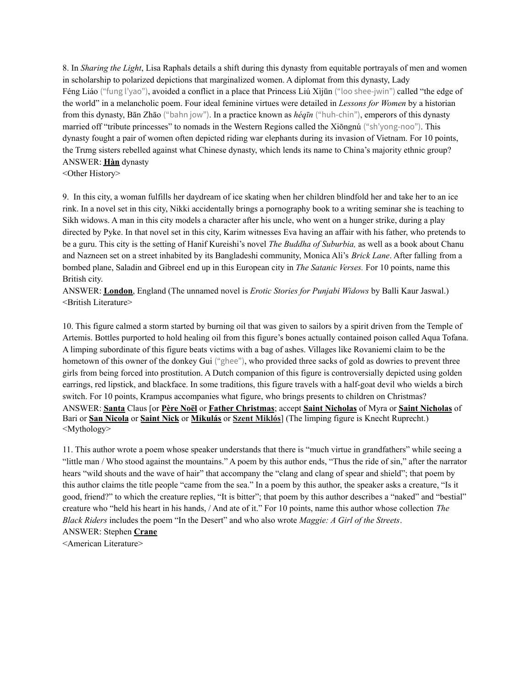8. In *Sharing the Light*, Lisa Raphals details a shift during this dynasty from equitable portrayals of men and women in scholarship to polarized depictions that marginalized women. A diplomat from this dynasty, Lady Féng Liáo ("fung l'yao"), avoided a conflict in a place that Princess Liú Xìjūn ("loo shee-jwin") called "the edge of the world" in a melancholic poem. Four ideal feminine virtues were detailed in *Lessons for Women* by a historian from this dynasty, Bān Zhāo ("bahn jow"). In a practice known as *héqīn* ("huh-chin"), emperors of this dynasty married off "tribute princesses" to nomads in the Western Regions called the Xiōngnú ("sh'yong-noo"). This dynasty fought a pair of women often depicted riding war elephants during its invasion of Vietnam. For 10 points, the Trưng sisters rebelled against what Chinese dynasty, which lends its name to China's majority ethnic group? ANSWER: **Hàn** dynasty

<Other History>

9. In this city, a woman fulfills her daydream of ice skating when her children blindfold her and take her to an ice rink. In a novel set in this city, Nikki accidentally brings a pornography book to a writing seminar she is teaching to Sikh widows. A man in this city models a character after his uncle, who went on a hunger strike, during a play directed by Pyke. In that novel set in this city, Karim witnesses Eva having an affair with his father, who pretends to be a guru. This city is the setting of Hanif Kureishi's novel *The Buddha of Suburbia,* as well as a book about Chanu and Nazneen set on a street inhabited by its Bangladeshi community, Monica Ali's *Brick Lane*. After falling from a bombed plane, Saladin and Gibreel end up in this European city in *The Satanic Verses.* For 10 points, name this British city.

ANSWER: **London**, England (The unnamed novel is *Erotic Stories for Punjabi Widows* by Balli Kaur Jaswal.) <British Literature>

10. This figure calmed a storm started by burning oil that was given to sailors by a spirit driven from the Temple of Artemis. Bottles purported to hold healing oil from this figure's bones actually contained poison called Aqua Tofana. A limping subordinate of this figure beats victims with a bag of ashes. Villages like Rovaniemi claim to be the hometown of this owner of the donkey Gui ("ghee"), who provided three sacks of gold as dowries to prevent three girls from being forced into prostitution. A Dutch companion of this figure is controversially depicted using golden earrings, red lipstick, and blackface. In some traditions, this figure travels with a half-goat devil who wields a birch switch. For 10 points, Krampus accompanies what figure, who brings presents to children on Christmas? ANSWER: **Santa** Claus [or **Père Noël** or **Father Christmas**; accept **Saint Nicholas** of Myra or **Saint Nicholas** of Bari or **San Nicola** or **Saint Nick** or **Mikulás** or **Szent Miklós**] (The limping figure is Knecht Ruprecht.) <Mythology>

11. This author wrote a poem whose speaker understands that there is "much virtue in grandfathers" while seeing a "little man / Who stood against the mountains." A poem by this author ends, "Thus the ride of sin," after the narrator hears "wild shouts and the wave of hair" that accompany the "clang and clang of spear and shield"; that poem by this author claims the title people "came from the sea." In a poem by this author, the speaker asks a creature, "Is it good, friend?" to which the creature replies, "It is bitter"; that poem by this author describes a "naked" and "bestial" creature who "held his heart in his hands, / And ate of it." For 10 points, name this author whose collection *The Black Riders* includes the poem "In the Desert" and who also wrote *Maggie: A Girl of the Streets*. ANSWER: Stephen **Crane**

<American Literature>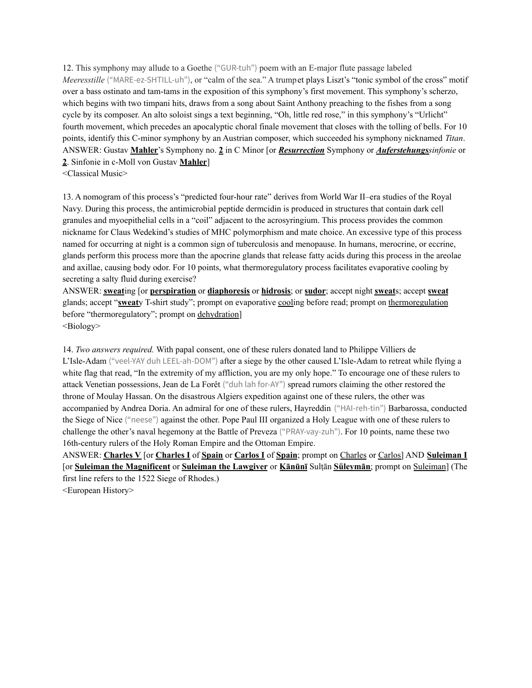12. This symphony may allude to a Goethe ("GUR-tuh") poem with an E-major flute passage labeled *Meeresstille* ("MARE-ez-SHTILL-uh"), or "calm of the sea." A trumpet plays Liszt's "tonic symbol of the cross" motif over a bass ostinato and tam-tams in the exposition of this symphony's first movement. This symphony's scherzo, which begins with two timpani hits, draws from a song about Saint Anthony preaching to the fishes from a song cycle by its composer. An alto soloist sings a text beginning, "Oh, little red rose," in this symphony's "Urlicht" fourth movement, which precedes an apocalyptic choral finale movement that closes with the tolling of bells. For 10 points, identify this C-minor symphony by an Austrian composer, which succeeded his symphony nicknamed *Titan*. ANSWER: Gustav **Mahler**'s Symphony no. **2** in C Minor [or *Resurrection* Symphony or *Auferstehungssinfonie* or **2**. Sinfonie in c-Moll von Gustav **Mahler**]

<Classical Music>

13. A nomogram of this process's "predicted four-hour rate" derives from World War II–era studies of the Royal Navy. During this process, the antimicrobial peptide dermcidin is produced in structures that contain dark cell granules and myoepithelial cells in a "coil" adjacent to the acrosyringium. This process provides the common nickname for Claus Wedekind's studies of MHC polymorphism and mate choice. An excessive type of this process named for occurring at night is a common sign of tuberculosis and menopause. In humans, merocrine, or eccrine, glands perform this process more than the apocrine glands that release fatty acids during this process in the areolae and axillae, causing body odor. For 10 points, what thermoregulatory process facilitates evaporative cooling by secreting a salty fluid during exercise?

ANSWER: **sweat**ing [or **perspiration** or **diaphoresis** or **hidrosis**; or **sudor**; accept night **sweat**s; accept **sweat** glands; accept "**sweat**y T-shirt study"; prompt on evaporative cooling before read; prompt on thermoregulation before "thermoregulatory"; prompt on dehydration] <Biology>

14. *Two answers required.* With papal consent, one of these rulers donated land to Philippe Villiers de L'Isle-Adam ("veel-YAY duh LEEL-ah-DOM") after a siege by the other caused L'Isle-Adam to retreat while flying a white flag that read, "In the extremity of my affliction, you are my only hope." To encourage one of these rulers to attack Venetian possessions, Jean de La Forêt ("duh lah for-AY") spread rumors claiming the other restored the throne of Moulay Hassan. On the disastrous Algiers expedition against one of these rulers, the other was accompanied by Andrea Doria. An admiral for one of these rulers, Hayreddin ("HAI-reh-tin") Barbarossa, conducted the Siege of Nice ("neese") against the other. Pope Paul III organized a Holy League with one of these rulers to challenge the other's naval hegemony at the Battle of Preveza ("PRAY-vay-zuh"). For 10 points, name these two 16th-century rulers of the Holy Roman Empire and the Ottoman Empire.

ANSWER: **Charles V** [or **Charles I** of **Spain** or **Carlos I** of **Spain**; prompt on Charles or Carlos] AND **Suleiman I** [or **Suleiman the Magnificent** or **Suleiman the Lawgiver** or **Ḳānūnī** Sulṭān **Süleymān**; prompt on Suleiman] (The first line refers to the 1522 Siege of Rhodes.)

<European History>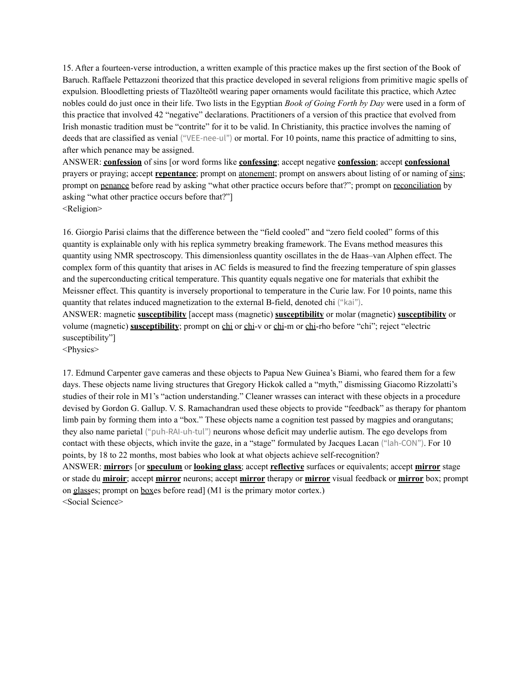15. After a fourteen-verse introduction, a written example of this practice makes up the first section of the Book of Baruch. Raffaele Pettazzoni theorized that this practice developed in several religions from primitive magic spells of expulsion. Bloodletting priests of Tlazōlteōtl wearing paper ornaments would facilitate this practice, which Aztec nobles could do just once in their life. Two lists in the Egyptian *Book of Going Forth by Day* were used in a form of this practice that involved 42 "negative" declarations. Practitioners of a version of this practice that evolved from Irish monastic tradition must be "contrite" for it to be valid. In Christianity, this practice involves the naming of deeds that are classified as venial ("VEE-nee-ul") or mortal. For 10 points, name this practice of admitting to sins, after which penance may be assigned.

ANSWER: **confession** of sins [or word forms like **confessing**; accept negative **confession**; accept **confessional** prayers or praying; accept **repentance**; prompt on atonement; prompt on answers about listing of or naming of sins; prompt on penance before read by asking "what other practice occurs before that?"; prompt on reconciliation by asking "what other practice occurs before that?"] <Religion>

16. Giorgio Parisi claims that the difference between the "field cooled" and "zero field cooled" forms of this quantity is explainable only with his replica symmetry breaking framework. The Evans method measures this quantity using NMR spectroscopy. This dimensionless quantity oscillates in the de Haas–van Alphen effect. The complex form of this quantity that arises in AC fields is measured to find the freezing temperature of spin glasses and the superconducting critical temperature. This quantity equals negative one for materials that exhibit the Meissner effect. This quantity is inversely proportional to temperature in the Curie law. For 10 points, name this quantity that relates induced magnetization to the external B-field, denoted chi ("kai"). ANSWER: magnetic **susceptibility** [accept mass (magnetic) **susceptibility** or molar (magnetic) **susceptibility** or volume (magnetic) **susceptibility**; prompt on chi or chi-v or chi-m or chi-rho before "chi"; reject "electric susceptibility"]

<Physics>

17. Edmund Carpenter gave cameras and these objects to Papua New Guinea's Biami, who feared them for a few days. These objects name living structures that Gregory Hickok called a "myth," dismissing Giacomo Rizzolatti's studies of their role in M1's "action understanding." Cleaner wrasses can interact with these objects in a procedure devised by Gordon G. Gallup. V. S. Ramachandran used these objects to provide "feedback" as therapy for phantom limb pain by forming them into a "box." These objects name a cognition test passed by magpies and orangutans; they also name parietal ("puh-RAI-uh-tul") neurons whose deficit may underlie autism. The ego develops from contact with these objects, which invite the gaze, in a "stage" formulated by Jacques Lacan ("lah-CON"). For 10 points, by 18 to 22 months, most babies who look at what objects achieve self-recognition? ANSWER: **mirror**s [or **speculum** or **looking glass**; accept **reflective** surfaces or equivalents; accept **mirror** stage or stade du **miroir**; accept **mirror** neurons; accept **mirror** therapy or **mirror** visual feedback or **mirror** box; prompt on glasses; prompt on boxes before read] (M1 is the primary motor cortex.) <Social Science>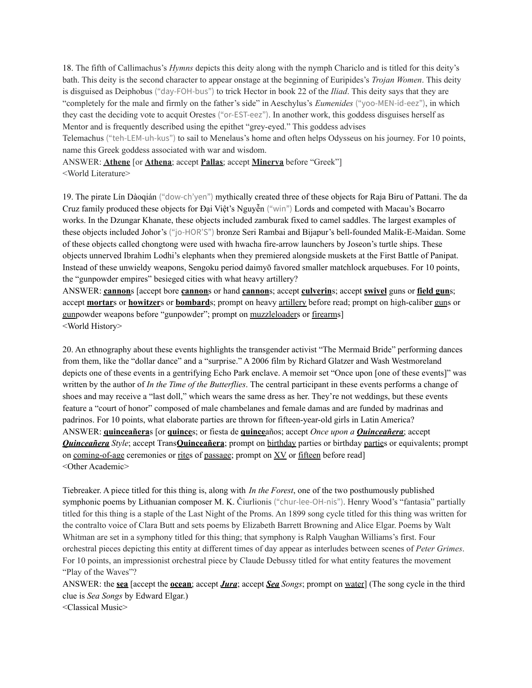18. The fifth of Callimachus's *Hymns* depicts this deity along with the nymph Chariclo and is titled for this deity's bath. This deity is the second character to appear onstage at the beginning of Euripides's *Trojan Women*. This deity is disguised as Deiphobus ("day-FOH-bus") to trick Hector in book 22 of the *Iliad*. This deity says that they are "completely for the male and firmly on the father's side" in Aeschylus's *Eumenides* ("yoo-MEN-id-eez"), in which they cast the deciding vote to acquit Orestes ("or-EST-eez"). In another work, this goddess disguises herself as Mentor and is frequently described using the epithet "grey-eyed." This goddess advises

Telemachus ("teh-LEM-uh-kus") to sail to Menelaus's home and often helps Odysseus on his journey. For 10 points, name this Greek goddess associated with war and wisdom.

ANSWER: **Athene** [or **Athena**; accept **Pallas**; accept **Minerva** before "Greek"] <World Literature>

19. The pirate Lín Dàoqián ("dow-ch'yen") mythically created three of these objects for Raja Biru of Pattani. The da Cruz family produced these objects for Đại Việt's Nguyễn ("win") Lords and competed with Macau's Bocarro works. In the Dzungar Khanate, these objects included zamburak fixed to camel saddles. The largest examples of these objects included Johor's ("jo-HOR'S") bronze Seri Rambai and Bijapur's bell-founded Malik-E-Maidan. Some of these objects called chongtong were used with hwacha fire-arrow launchers by Joseon's turtle ships. These objects unnerved Ibrahim Lodhi's elephants when they premiered alongside muskets at the First Battle of Panipat. Instead of these unwieldy weapons, Sengoku period daimyō favored smaller matchlock arquebuses. For 10 points, the "gunpowder empires" besieged cities with what heavy artillery?

ANSWER: **cannon**s [accept bore **cannon**s or hand **cannon**s; accept **culverin**s; accept **swivel** guns or **field gun**s; accept **mortar**s or **howitzer**s or **bombard**s; prompt on heavy artillery before read; prompt on high-caliber guns or gunpowder weapons before "gunpowder"; prompt on muzzleloaders or firearms] <World History>

20. An ethnography about these events highlights the transgender activist "The Mermaid Bride" performing dances from them, like the "dollar dance" and a "surprise." A 2006 film by Richard Glatzer and Wash Westmoreland depicts one of these events in a gentrifying Echo Park enclave. A memoir set "Once upon [one of these events]" was written by the author of *In the Time of the Butterflies*. The central participant in these events performs a change of shoes and may receive a "last doll," which wears the same dress as her. They're not weddings, but these events feature a "court of honor" composed of male chambelanes and female damas and are funded by madrinas and padrinos. For 10 points, what elaborate parties are thrown for fifteen-year-old girls in Latin America? ANSWER: **quinceañera**s [or **quince**s; or fiesta de **quince**años; accept *Once upon a Quinceañera*; accept *Quinceañera Style*; accept Trans**Quinceañera**; prompt on birthday parties or birthday parties or equivalents; prompt on coming-of-age ceremonies or rites of passage; prompt on XV or fifteen before read] <Other Academic>

Tiebreaker. A piece titled for this thing is, along with *In the Forest*, one of the two posthumously published symphonic poems by Lithuanian composer M. K. Čiurlionis ("chur-lee-OH-nis"). Henry Wood's "fantasia" partially titled for this thing is a staple of the Last Night of the Proms. An 1899 song cycle titled for this thing was written for the contralto voice of Clara Butt and sets poems by Elizabeth Barrett Browning and Alice Elgar. Poems by Walt Whitman are set in a symphony titled for this thing; that symphony is Ralph Vaughan Williams's first. Four orchestral pieces depicting this entity at different times of day appear as interludes between scenes of *Peter Grimes*. For 10 points, an impressionist orchestral piece by Claude Debussy titled for what entity features the movement "Play of the Waves"?

ANSWER: the **sea** [accept the **ocean**; accept *Jura*; accept *Sea Songs*; prompt on water] (The song cycle in the third clue is *Sea Songs* by Edward Elgar.)

<Classical Music>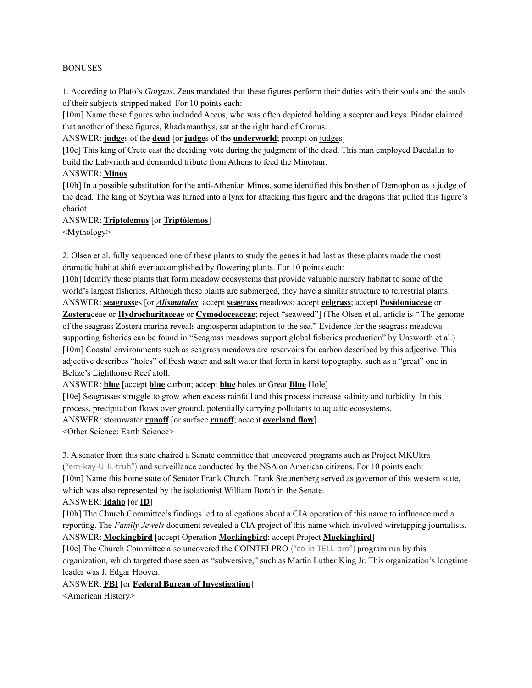#### BONUSES

1. According to Plato's *Gorgias*, Zeus mandated that these figures perform their duties with their souls and the souls of their subjects stripped naked. For 10 points each:

[10m] Name these figures who included Aecus, who was often depicted holding a scepter and keys. Pindar claimed that another of these figures, Rhadamanthys, sat at the right hand of Cronus.

ANSWER: **judge**s of the **dead** [or **judge**s of the **underworld**; prompt on judges]

[10e] This king of Crete cast the deciding vote during the judgment of the dead. This man employed Daedalus to build the Labyrinth and demanded tribute from Athens to feed the Minotaur.

#### ANSWER: **Minos**

[10h] In a possible substitution for the anti-Athenian Minos, some identified this brother of Demophon as a judge of the dead. The king of Scythia was turned into a lynx for attacking this figure and the dragons that pulled this figure's chariot.

### ANSWER: **Triptolemus** [or **Triptólemos**]

<Mythology>

2. Olsen et al. fully sequenced one of these plants to study the genes it had lost as these plants made the most dramatic habitat shift ever accomplished by flowering plants. For 10 points each:

[10h] Identify these plants that form meadow ecosystems that provide valuable nursery habitat to some of the world's largest fisheries. Although these plants are submerged, they have a similar structure to terrestrial plants. ANSWER: **seagrass**es [or *Alismatales*; accept **seagrass** meadows; accept **eelgrass**; accept **Posidoniaceae** or **Zostera**ceae or **Hydrocharitaceae** or **Cymodoceaceae**; reject "seaweed"] (The Olsen et al. article is " The genome of the seagrass Zostera marina reveals angiosperm adaptation to the sea." Evidence for the seagrass meadows supporting fisheries can be found in "Seagrass meadows support global fisheries production" by Unsworth et al.) [10m] Coastal environments such as seagrass meadows are reservoirs for carbon described by this adjective. This adjective describes "holes" of fresh water and salt water that form in karst topography, such as a "great" one in Belize's Lighthouse Reef atoll.

ANSWER: **blue** [accept **blue** carbon; accept **blue** holes or Great **Blue** Hole]

[10e] Seagrasses struggle to grow when excess rainfall and this process increase salinity and turbidity. In this process, precipitation flows over ground, potentially carrying pollutants to aquatic ecosystems.

ANSWER: stormwater **runoff** [or surface **runoff**; accept **overland flow**]

<Other Science: Earth Science>

3. A senator from this state chaired a Senate committee that uncovered programs such as Project MKUltra ("em-kay-UHL-truh") and surveillance conducted by the NSA on American citizens. For 10 points each:

[10m] Name this home state of Senator Frank Church. Frank Steunenberg served as governor of this western state, which was also represented by the isolationist William Borah in the Senate.

#### ANSWER: **Idaho** [or **ID**]

[10h] The Church Committee's findings led to allegations about a CIA operation of this name to influence media reporting. The *Family Jewels* document revealed a CIA project of this name which involved wiretapping journalists. ANSWER: **Mockingbird** [accept Operation **Mockingbird**; accept Project **Mockingbird**]

[10e] The Church Committee also uncovered the COINTELPRO ("co-in-TELL-pro") program run by this organization, which targeted those seen as "subversive," such as Martin Luther King Jr. This organization's longtime leader was J. Edgar Hoover.

#### ANSWER: **FBI** [or **Federal Bureau of Investigation**]

<American History>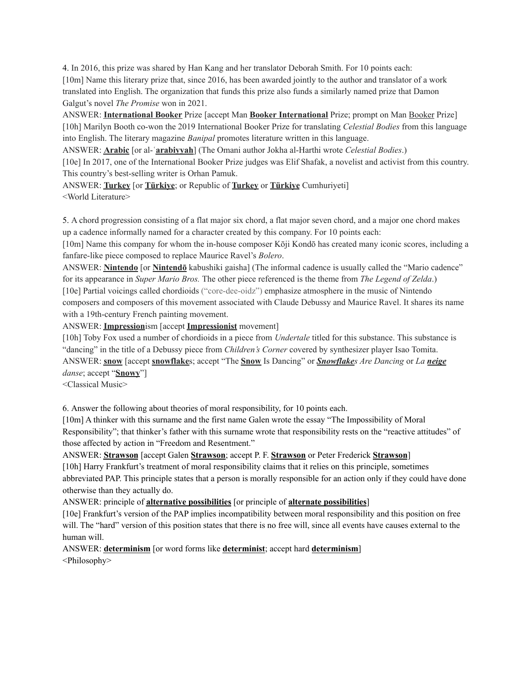4. In 2016, this prize was shared by Han Kang and her translator Deborah Smith. For 10 points each: [10m] Name this literary prize that, since 2016, has been awarded jointly to the author and translator of a work translated into English. The organization that funds this prize also funds a similarly named prize that Damon Galgut's novel *The Promise* won in 2021.

ANSWER: **International Booker** Prize [accept Man **Booker International** Prize; prompt on Man Booker Prize] [10h] Marilyn Booth co-won the 2019 International Booker Prize for translating *Celestial Bodies* from this language into English. The literary magazine *Banipal* promotes literature written in this language.

ANSWER: **Arabic** [or al-ʿ**arabiyyah**] (The Omani author Jokha al-Harthi wrote *Celestial Bodies*.)

[10e] In 2017, one of the International Booker Prize judges was Elif Shafak, a novelist and activist from this country. This country's best-selling writer is Orhan Pamuk.

ANSWER: **Turkey** [or **Türkiye**; or Republic of **Turkey** or **Türkiye** Cumhuriyeti] <World Literature>

5. A chord progression consisting of a flat major six chord, a flat major seven chord, and a major one chord makes up a cadence informally named for a character created by this company. For 10 points each:

[10m] Name this company for whom the in-house composer Kōji Kondō has created many iconic scores, including a fanfare-like piece composed to replace Maurice Ravel's *Bolero*.

ANSWER: **Nintendo** [or **Nintendō** kabushiki gaisha] (The informal cadence is usually called the "Mario cadence" for its appearance in *Super Mario Bros.* The other piece referenced is the theme from *The Legend of Zelda*.) [10e] Partial voicings called chordioids ("core-dee-oidz") emphasize atmosphere in the music of Nintendo composers and composers of this movement associated with Claude Debussy and Maurice Ravel. It shares its name with a 19th-century French painting movement.

ANSWER: **Impression**ism [accept **Impressionist** movement]

[10h] Toby Fox used a number of chordioids in a piece from *Undertale* titled for this substance. This substance is "dancing" in the title of a Debussy piece from *Children's Corner* covered by synthesizer player Isao Tomita. ANSWER: **snow** [accept **snowflake**s; accept "The **Snow** Is Dancing" or *Snowflakes Are Dancing* or *La neige danse*; accept "**Snowy**"]

<Classical Music>

6. Answer the following about theories of moral responsibility, for 10 points each.

[10m] A thinker with this surname and the first name Galen wrote the essay "The Impossibility of Moral Responsibility"; that thinker's father with this surname wrote that responsibility rests on the "reactive attitudes" of those affected by action in "Freedom and Resentment."

ANSWER: **Strawson** [accept Galen **Strawson**; accept P. F. **Strawson** or Peter Frederick **Strawson**]

[10h] Harry Frankfurt's treatment of moral responsibility claims that it relies on this principle, sometimes abbreviated PAP. This principle states that a person is morally responsible for an action only if they could have done otherwise than they actually do.

ANSWER: principle of **alternative possibilities** [or principle of **alternate possibilities**]

[10e] Frankfurt's version of the PAP implies incompatibility between moral responsibility and this position on free will. The "hard" version of this position states that there is no free will, since all events have causes external to the human will.

ANSWER: **determinism** [or word forms like **determinist**; accept hard **determinism**] <Philosophy>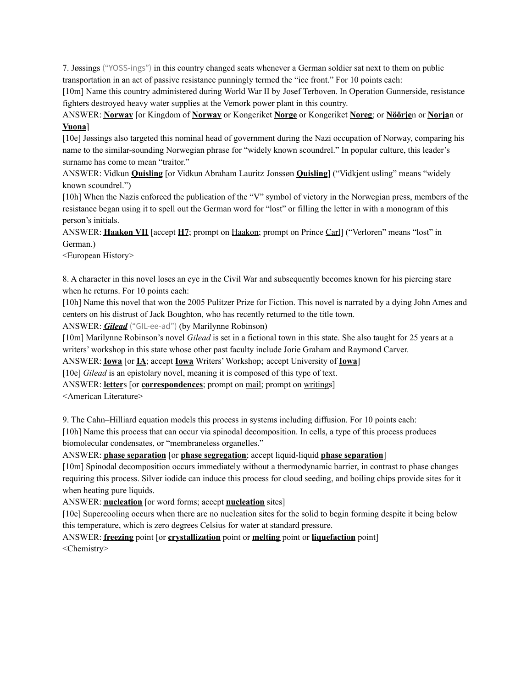7. Jøssings ("YOSS-ings") in this country changed seats whenever a German soldier sat next to them on public transportation in an act of passive resistance punningly termed the "ice front." For 10 points each:

[10m] Name this country administered during World War II by Josef Terboven. In Operation Gunnerside, resistance fighters destroyed heavy water supplies at the Vemork power plant in this country.

ANSWER: **Norway** [or Kingdom of **Norway** or Kongeriket **Norge** or Kongeriket **Noreg**; or **Nöörje**n or **Norja**n or **Vuona**]

[10e] Jøssings also targeted this nominal head of government during the Nazi occupation of Norway, comparing his name to the similar-sounding Norwegian phrase for "widely known scoundrel." In popular culture, this leader's surname has come to mean "traitor."

ANSWER: Vidkun **Quisling** [or Vidkun Abraham Lauritz Jonssøn **Quisling**] ("Vidkjent usling" means "widely known scoundrel.")

[10h] When the Nazis enforced the publication of the "V" symbol of victory in the Norwegian press, members of the resistance began using it to spell out the German word for "lost" or filling the letter in with a monogram of this person's initials.

ANSWER: **Haakon VII** [accept **H7**; prompt on Haakon; prompt on Prince Carl] ("Verloren" means "lost" in German.)

<European History>

8. A character in this novel loses an eye in the Civil War and subsequently becomes known for his piercing stare when he returns. For 10 points each:

[10h] Name this novel that won the 2005 Pulitzer Prize for Fiction. This novel is narrated by a dying John Ames and centers on his distrust of Jack Boughton, who has recently returned to the title town.

ANSWER: *Gilead* ("GIL-ee-ad") (by Marilynne Robinson)

[10m] Marilynne Robinson's novel *Gilead* is set in a fictional town in this state. She also taught for 25 years at a writers' workshop in this state whose other past faculty include Jorie Graham and Raymond Carver.

ANSWER: **Iowa** [or **IA**; accept **Iowa** Writers' Workshop; accept University of **Iowa**]

[10e] *Gilead* is an epistolary novel, meaning it is composed of this type of text.

ANSWER: **letter**s [or **correspondences**; prompt on mail; prompt on writings]

<American Literature>

9. The Cahn–Hilliard equation models this process in systems including diffusion. For 10 points each:

[10h] Name this process that can occur via spinodal decomposition. In cells, a type of this process produces biomolecular condensates, or "membraneless organelles."

ANSWER: **phase separation** [or **phase segregation**; accept liquid-liquid **phase separation**]

[10m] Spinodal decomposition occurs immediately without a thermodynamic barrier, in contrast to phase changes requiring this process. Silver iodide can induce this process for cloud seeding, and boiling chips provide sites for it when heating pure liquids.

ANSWER: **nucleation** [or word forms; accept **nucleation** sites]

[10e] Supercooling occurs when there are no nucleation sites for the solid to begin forming despite it being below this temperature, which is zero degrees Celsius for water at standard pressure.

ANSWER: **freezing** point [or **crystallization** point or **melting** point or **liquefaction** point] <Chemistry>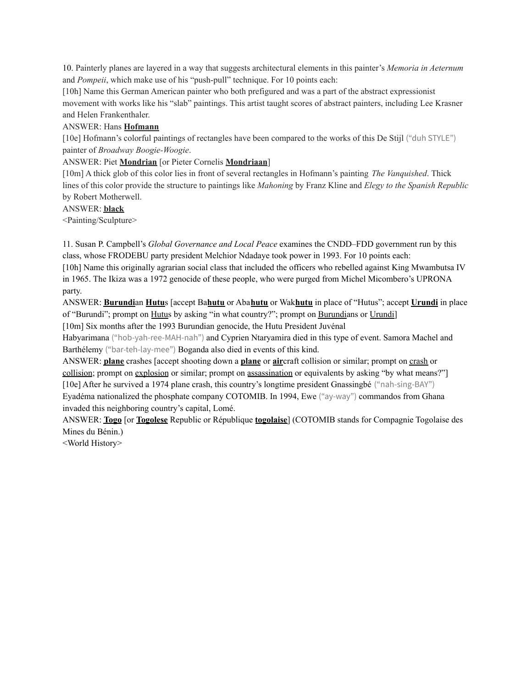10. Painterly planes are layered in a way that suggests architectural elements in this painter's *Memoria in Aeternum* and *Pompeii*, which make use of his "push-pull" technique. For 10 points each:

[10h] Name this German American painter who both prefigured and was a part of the abstract expressionist movement with works like his "slab" paintings. This artist taught scores of abstract painters, including Lee Krasner and Helen Frankenthaler.

### ANSWER: Hans **Hofmann**

[10e] Hofmann's colorful paintings of rectangles have been compared to the works of this De Stijl ("duh STYLE") painter of *Broadway Boogie-Woogie*.

ANSWER: Piet **Mondrian** [or Pieter Cornelis **Mondriaan**]

[10m] A thick glob of this color lies in front of several rectangles in Hofmann's painting *The Vanquished*. Thick lines of this color provide the structure to paintings like *Mahoning* by Franz Kline and *Elegy to the Spanish Republic* by Robert Motherwell.

# ANSWER: **black**

<Painting/Sculpture>

11. Susan P. Campbell's *Global Governance and Local Peace* examines the CNDD–FDD government run by this class, whose FRODEBU party president Melchior Ndadaye took power in 1993. For 10 points each: [10h] Name this originally agrarian social class that included the officers who rebelled against King Mwambutsa IV in 1965. The Ikiza was a 1972 genocide of these people, who were purged from Michel Micombero's UPRONA

party.

ANSWER: **Burundi**an **Hutu**s [accept Ba**hutu** or Aba**hutu** or Wak**hutu** in place of "Hutus"; accept **Urundi** in place of "Burundi"; prompt on Hutus by asking "in what country?"; prompt on Burundians or Urundi [10m] Six months after the 1993 Burundian genocide, the Hutu President Juvénal

Habyarimana ("hob-yah-ree-MAH-nah") and Cyprien Ntaryamira died in this type of event. Samora Machel and Barthélemy ("bar-teh-lay-mee") Boganda also died in events of this kind.

ANSWER: **plane** crashes [accept shooting down a **plane** or **air**craft collision or similar; prompt on crash or collision; prompt on explosion or similar; prompt on assassination or equivalents by asking "by what means?"] [10e] After he survived a 1974 plane crash, this country's longtime president Gnassingbé ("nah-sing-BAY") Eyadéma nationalized the phosphate company COTOMIB. In 1994, Ewe ("ay-way") commandos from Ghana invaded this neighboring country's capital, Lomé.

ANSWER: **Togo** [or **Togolese** Republic or République **togolaise**] (COTOMIB stands for Compagnie Togolaise des Mines du Bénin.)

<World History>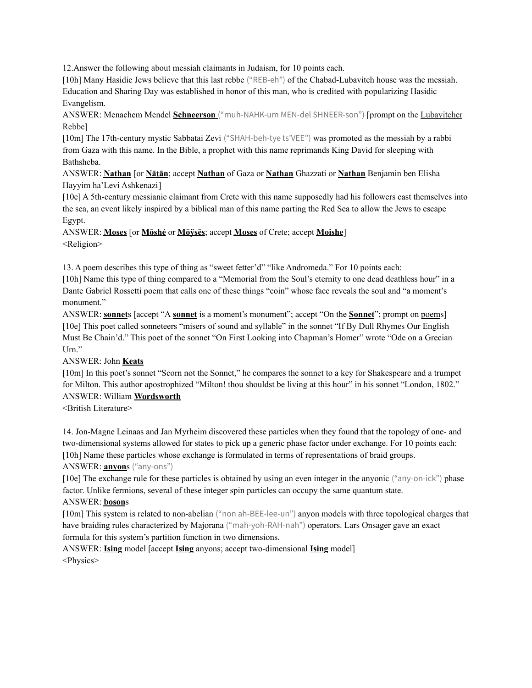12.Answer the following about messiah claimants in Judaism, for 10 points each.

[10h] Many Hasidic Jews believe that this last rebbe ("REB-eh") of the Chabad-Lubavitch house was the messiah. Education and Sharing Day was established in honor of this man, who is credited with popularizing Hasidic Evangelism.

ANSWER: Menachem Mendel **Schneerson** ("muh-NAHK-um MEN-del SHNEER-son") [prompt on the Lubavitcher Rebbe]

[10m] The 17th-century mystic Sabbatai Zevi ("SHAH-beh-tye ts'VEE") was promoted as the messiah by a rabbi from Gaza with this name. In the Bible, a prophet with this name reprimands King David for sleeping with Bathsheba.

ANSWER: **Nathan** [or **Nāṯān**; accept **Nathan** of Gaza or **Nathan** Ghazzati or **Nathan** Benjamin ben Elisha Hayyim ha'Levi Ashkenazi]

[10e] A 5th-century messianic claimant from Crete with this name supposedly had his followers cast themselves into the sea, an event likely inspired by a biblical man of this name parting the Red Sea to allow the Jews to escape Egypt.

ANSWER: **Moses** [or **Mōshé** or **Mōÿsēs**; accept **Moses** of Crete; accept **Moishe**] <Religion>

13. A poem describes this type of thing as "sweet fetter'd" "like Andromeda." For 10 points each:

[10h] Name this type of thing compared to a "Memorial from the Soul's eternity to one dead deathless hour" in a Dante Gabriel Rossetti poem that calls one of these things "coin" whose face reveals the soul and "a moment's monument."

ANSWER: **sonnet**s [accept "A **sonnet** is a moment's monument"; accept "On the **Sonnet**"; prompt on poems] [10e] This poet called sonneteers "misers of sound and syllable" in the sonnet "If By Dull Rhymes Our English Must Be Chain'd." This poet of the sonnet "On First Looking into Chapman's Homer" wrote "Ode on a Grecian Urn."

ANSWER: John **Keats**

[10m] In this poet's sonnet "Scorn not the Sonnet," he compares the sonnet to a key for Shakespeare and a trumpet for Milton. This author apostrophized "Milton! thou shouldst be living at this hour" in his sonnet "London, 1802." ANSWER: William **Wordsworth**

<British Literature>

14. Jon-Magne Leinaas and Jan Myrheim discovered these particles when they found that the topology of one- and two-dimensional systems allowed for states to pick up a generic phase factor under exchange. For 10 points each: [10h] Name these particles whose exchange is formulated in terms of representations of braid groups.

# ANSWER: **anyon**s ("any-ons")

[10e] The exchange rule for these particles is obtained by using an even integer in the anyonic ("any-on-ick") phase factor. Unlike fermions, several of these integer spin particles can occupy the same quantum state. ANSWER: **boson**s

[10m] This system is related to non-abelian ("non ah-BEE-lee-un") anyon models with three topological charges that have braiding rules characterized by Majorana ("mah-yoh-RAH-nah") operators. Lars Onsager gave an exact formula for this system's partition function in two dimensions.

ANSWER: **Ising** model [accept **Ising** anyons; accept two-dimensional **Ising** model] <Physics>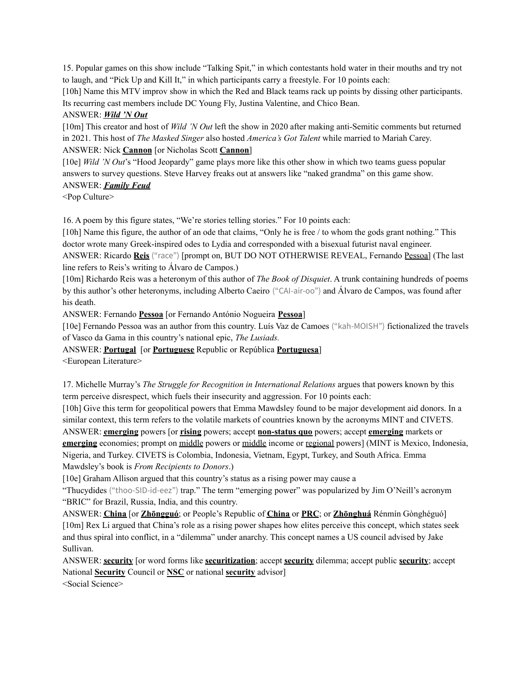15. Popular games on this show include "Talking Spit," in which contestants hold water in their mouths and try not to laugh, and "Pick Up and Kill It," in which participants carry a freestyle. For 10 points each:

[10h] Name this MTV improv show in which the Red and Black teams rack up points by dissing other participants. Its recurring cast members include DC Young Fly, Justina Valentine, and Chico Bean.

### ANSWER: *Wild 'N Out*

[10m] This creator and host of *Wild 'N Out* left the show in 2020 after making anti-Semitic comments but returned in 2021. This host of *The Masked Singer* also hosted *America's Got Talent* while married to Mariah Carey. ANSWER: Nick **Cannon** [or Nicholas Scott **Cannon**]

[10e] *Wild 'N Out*'s "Hood Jeopardy" game plays more like this other show in which two teams guess popular answers to survey questions. Steve Harvey freaks out at answers like "naked grandma" on this game show.

# ANSWER: *Family Feud*

<Pop Culture>

16. A poem by this figure states, "We're stories telling stories." For 10 points each:

[10h] Name this figure, the author of an ode that claims, "Only he is free / to whom the gods grant nothing." This doctor wrote many Greek-inspired odes to Lydia and corresponded with a bisexual futurist naval engineer.

ANSWER: Ricardo **Reis** ("race") [prompt on, BUT DO NOT OTHERWISE REVEAL, Fernando Pessoa] (The last line refers to Reis's writing to Álvaro de Campos.)

[10m] Richardo Reis was a heteronym of this author of *The Book of Disquiet*. A trunk containing hundreds of poems by this author's other heteronyms, including Alberto Caeiro ("CAI-air-oo") and Álvaro de Campos, was found after his death.

ANSWER: Fernando **Pessoa** [or Fernando António Nogueira **Pessoa**]

[10e] Fernando Pessoa was an author from this country. Luís Vaz de Camoes ("kah-MOISH") fictionalized the travels of Vasco da Gama in this country's national epic, *The Lusiads.*

ANSWER: **Portugal** [or **Portuguese** Republic or República **Portuguesa**]

<European Literature>

17. Michelle Murray's *The Struggle for Recognition in International Relations* argues that powers known by this term perceive disrespect, which fuels their insecurity and aggression. For 10 points each:

[10h] Give this term for geopolitical powers that Emma Mawdsley found to be major development aid donors. In a similar context, this term refers to the volatile markets of countries known by the acronyms MINT and CIVETS. ANSWER: **emerging** powers [or **rising** powers; accept **non-status quo** powers; accept **emerging** markets or **emerging** economies; prompt on middle powers or middle income or regional powers] (MINT is Mexico, Indonesia, Nigeria, and Turkey. CIVETS is Colombia, Indonesia, Vietnam, Egypt, Turkey, and South Africa. Emma Mawdsley's book is *From Recipients to Donors*.)

[10e] Graham Allison argued that this country's status as a rising power may cause a

"Thucydides ("thoo-SID-id-eez") trap." The term "emerging power" was popularized by Jim O'Neill's acronym "BRIC" for Brazil, Russia, India, and this country.

ANSWER: **China** [or **Zhōngguó**; or People's Republic of **China** or **PRC**; or **Zhōnghuá** Rénmín Gònghéguó] [10m] Rex Li argued that China's role as a rising power shapes how elites perceive this concept, which states seek and thus spiral into conflict, in a "dilemma" under anarchy. This concept names a US council advised by Jake Sullivan.

ANSWER: **security** [or word forms like **securitization**; accept **security** dilemma; accept public **security**; accept National **Security** Council or **NSC** or national **security** advisor]

<Social Science>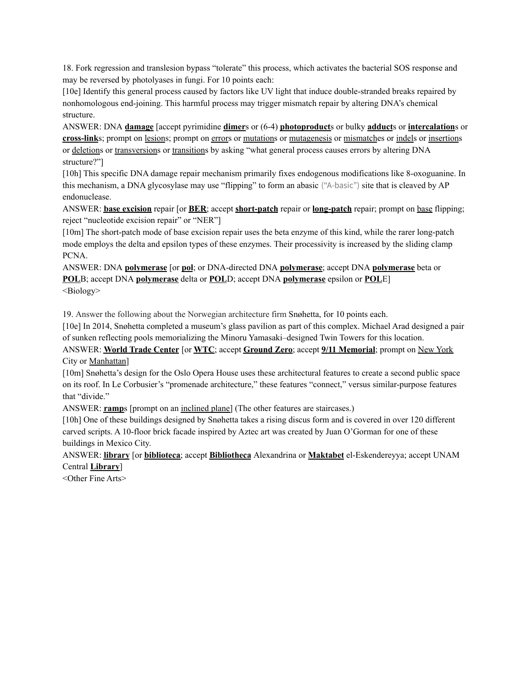18. Fork regression and translesion bypass "tolerate" this process, which activates the bacterial SOS response and may be reversed by photolyases in fungi. For 10 points each:

[10e] Identify this general process caused by factors like UV light that induce double-stranded breaks repaired by nonhomologous end-joining. This harmful process may trigger mismatch repair by altering DNA's chemical structure.

ANSWER: DNA **damage** [accept pyrimidine **dimer**s or (6-4) **photoproduct**s or bulky **adduct**s or **intercalation**s or **cross-link**s; prompt on lesions; prompt on errors or mutations or mutagenesis or mismatches or indels or insertions or deletions or transversions or transitions by asking "what general process causes errors by altering DNA structure?"]

[10h] This specific DNA damage repair mechanism primarily fixes endogenous modifications like 8-oxoguanine. In this mechanism, a DNA glycosylase may use "flipping" to form an abasic ("A-basic") site that is cleaved by AP endonuclease.

ANSWER: **base excision** repair [or **BER**; accept **short-patch** repair or **long-patch** repair; prompt on base flipping; reject "nucleotide excision repair" or "NER"]

[10m] The short-patch mode of base excision repair uses the beta enzyme of this kind, while the rarer long-patch mode employs the delta and epsilon types of these enzymes. Their processivity is increased by the sliding clamp PCNA.

ANSWER: DNA **polymerase** [or **pol**; or DNA-directed DNA **polymerase**; accept DNA **polymerase** beta or **POL**B; accept DNA **polymerase** delta or **POL**D; accept DNA **polymerase** epsilon or **POL**E] <Biology>

19. Answer the following about the Norwegian architecture firm Snøhetta, for 10 points each.

[10e] In 2014, Snøhetta completed a museum's glass pavilion as part of this complex. Michael Arad designed a pair of sunken reflecting pools memorializing the Minoru Yamasaki–designed Twin Towers for this location.

ANSWER: **World Trade Center** [or **WTC**; accept **Ground Zero**; accept **9/11 Memorial**; prompt on New York City or Manhattan]

[10m] Snøhetta's design for the Oslo Opera House uses these architectural features to create a second public space on its roof. In Le Corbusier's "promenade architecture," these features "connect," versus similar-purpose features that "divide."

ANSWER: **ramp**s [prompt on an inclined plane] (The other features are staircases.)

[10h] One of these buildings designed by Snøhetta takes a rising discus form and is covered in over 120 different carved scripts. A 10-floor brick facade inspired by Aztec art was created by Juan O'Gorman for one of these buildings in Mexico City.

ANSWER: **library** [or **biblioteca**; accept **Bibliotheca** Alexandrina or **Maktabet** el-Eskendereyya; accept UNAM Central **Library**]

<Other Fine Arts>